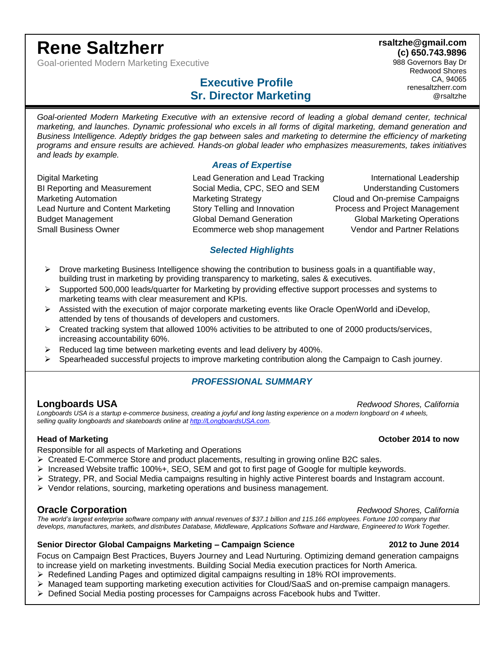# **Rene Saltzherr**

Goal-oriented Modern Marketing Executive

## **Executive Profile Sr. Director Marketing**

**(c) 650.743.9896** 988 Governors Bay Dr Redwood Shores CA, 94065 renesaltzherr.com @rsaltzhe

**rsaltzhe@gmail.com**

Goal-oriented Modern Marketing Executive with an extensive record of leading a global demand center, technical *marketing, and launches. Dynamic professional who excels in all forms of digital marketing, demand generation and Business Intelligence. Adeptly bridges the gap between sales and marketing to determine the efficiency of marketing programs and ensure results are achieved. Hands-on global leader who emphasizes measurements, takes initiatives and leads by example.*

### *Areas of Expertise*

Digital Marketing Lead Generation and Lead Tracking International Leadership BI Reporting and Measurement Social Media, CPC, SEO and SEM Understanding Customers Marketing Automation Marketing Strategy Cloud and On-premise Campaigns Lead Nurture and Content Marketing Story Telling and Innovation Process and Project Management Budget Management Global Demand Generation Global Marketing Operations Small Business Owner Ecommerce web shop management Vendor and Partner Relations

### *Selected Highlights*

- $\triangleright$  Drove marketing Business Intelligence showing the contribution to business goals in a quantifiable way, building trust in marketing by providing transparency to marketing, sales & executives.
- ➢ Supported 500,000 leads/quarter for Marketing by providing effective support processes and systems to marketing teams with clear measurement and KPIs.
- $\triangleright$  Assisted with the execution of major corporate marketing events like Oracle OpenWorld and iDevelop, attended by tens of thousands of developers and customers.
- ➢ Created tracking system that allowed 100% activities to be attributed to one of 2000 products/services, increasing accountability 60%.
- ➢ Reduced lag time between marketing events and lead delivery by 400%.
- ➢ Spearheaded successful projects to improve marketing contribution along the Campaign to Cash journey.

### *PROFESSIONAL SUMMARY*

**Longboards USA** *Redwood Shores, California Redwood Shores, California Longboards USA is a startup e-commerce business, creating a joyful and long lasting experience on a modern longboard on 4 wheels, selling quality longboards and skateboards online at [http://LongboardsUSA.com.](http://longboardsusa.com/)*

Responsible for all aspects of Marketing and Operations

- ➢ Created E-Commerce Store and product placements, resulting in growing online B2C sales.
- ➢ Increased Website traffic 100%+, SEO, SEM and got to first page of Google for multiple keywords.
- ➢ Strategy, PR, and Social Media campaigns resulting in highly active Pinterest boards and Instagram account.
- Vendor relations, sourcing, marketing operations and business management.

### **Oracle Corporation** *Corporation Redwood Shores, California*

*The world's largest enterprise software company with annual revenues of \$37.1 billion and 115.166 employees. Fortune 100 company that develops, manufactures, markets, and distributes Database, Middleware, Applications Software and Hardware, Engineered to Work Together.*

#### **Senior Director Global Campaigns Marketing – Campaign Science 2012 to June 2014**

Focus on Campaign Best Practices, Buyers Journey and Lead Nurturing. Optimizing demand generation campaigns to increase yield on marketing investments. Building Social Media execution practices for North America.

- ➢ Redefined Landing Pages and optimized digital campaigns resulting in 18% ROI improvements.
- ➢ Managed team supporting marketing execution activities for Cloud/SaaS and on-premise campaign managers.
- ➢ Defined Social Media posting processes for Campaigns across Facebook hubs and Twitter.

#### **Head of Marketing October 2014 to now**